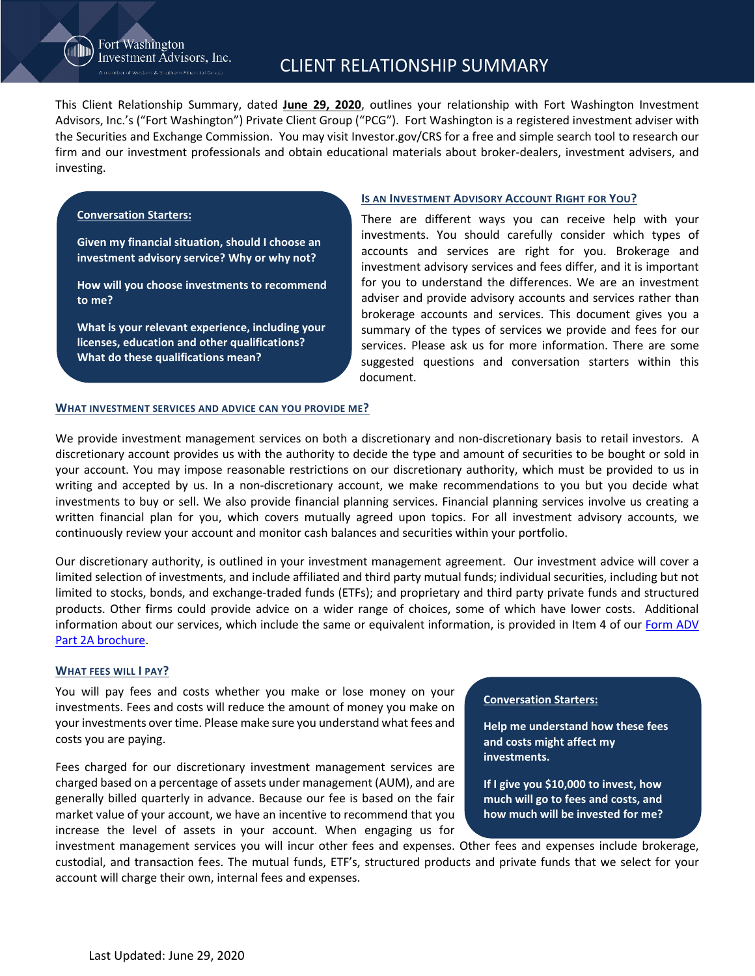## Fort Washington Investment Advisors, Inc.

This Client Relationship Summary, dated **June 29, 2020**, outlines your relationship with Fort Washington Investment Advisors, Inc.'s ("Fort Washington") Private Client Group ("PCG"). Fort Washington is a registered investment adviser with the Securities and Exchange Commission. You may visit Investor.gov/CRS for a free and simple search tool to research our firm and our investment professionals and obtain educational materials about broker-dealers, investment advisers, and investing.

### **Conversation Starters:**

**Given my financial situation, should I choose an investment advisory service? Why or why not?** 

**How will you choose investments to recommend to me?** 

**What is your relevant experience, including your licenses, education and other qualifications? What do these qualifications mean?**

### **IS AN INVESTMENT ADVISORY ACCOUNT RIGHT FOR YOU?**

There are different ways you can receive help with your investments. You should carefully consider which types of accounts and services are right for you. Brokerage and investment advisory services and fees differ, and it is important for you to understand the differences. We are an investment adviser and provide advisory accounts and services rather than brokerage accounts and services. This document gives you a summary of the types of services we provide and fees for our services. Please ask us for more information. There are some suggested questions and conversation starters within this document.

#### **WHAT INVESTMENT SERVICES AND ADVICE CAN YOU PROVIDE ME?**

We provide investment management services on both a discretionary and non-discretionary basis to retail investors. A discretionary account provides us with the authority to decide the type and amount of securities to be bought or sold in your account. You may impose reasonable restrictions on our discretionary authority, which must be provided to us in writing and accepted by us. In a non-discretionary account, we make recommendations to you but you decide what investments to buy or sell. We also provide financial planning services. Financial planning services involve us creating a written financial plan for you, which covers mutually agreed upon topics. For all investment advisory accounts, we continuously review your account and monitor cash balances and securities within your portfolio.

Our discretionary authority, is outlined in your investment management agreement. Our investment advice will cover a limited selection of investments, and include affiliated and third party mutual funds; individual securities, including but not limited to stocks, bonds, and exchange-traded funds (ETFs); and proprietary and third party private funds and structured products. Other firms could provide advice on a wider range of choices, some of which have lower costs. Additional information about our services, which include the same or equivalent information, is provided in Item 4 of our [Form ADV](https://www.westernsouthern.com/-/media/files/fortwashington/fwia_form_adv_part_2a_1182018_1.pdf) [Part 2A brochure.](https://www.westernsouthern.com/-/media/files/fortwashington/fwia_form_adv_part_2a_1182018_1.pdf)

### **WHAT FEES WILL I PAY?**

You will pay fees and costs whether you make or lose money on your investments. Fees and costs will reduce the amount of money you make on your investments over time. Please make sure you understand what fees and costs you are paying.

Fees charged for our discretionary investment management services are charged based on a percentage of assets under management (AUM), and are generally billed quarterly in advance. Because our fee is based on the fair market value of your account, we have an incentive to recommend that you increase the level of assets in your account. When engaging us for

#### **Conversation Starters:**

**Help me understand how these fees and costs might affect my investments.** 

**If I give you \$10,000 to invest, how much will go to fees and costs, and how much will be invested for me?**

investment management services you will incur other fees and expenses. Other fees and expenses include brokerage, custodial, and transaction fees. The mutual funds, ETF's, structured products and private funds that we select for your account will charge their own, internal fees and expenses.